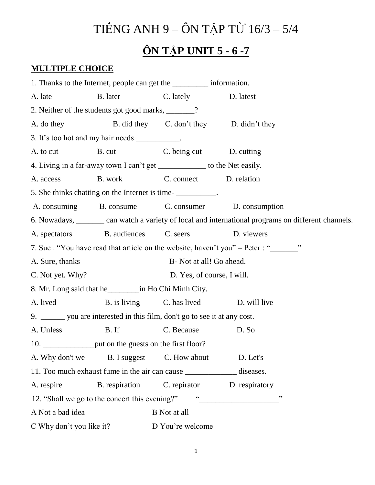## TIẾNG ANH 9 – ÔN TẬP TỪ 16/3 – 5/4

## **ÔN TẬP UNIT 5 - 6 -7**

## **MULTIPLE CHOICE**

1. Thanks to the Internet, people can get the \_\_\_\_\_\_\_\_\_ information. A. late B. later C. lately D. latest 2. Neither of the students got good marks, \_\_\_\_\_\_\_? A. do they B. did they C. don't they D. didn't they 3. It's too hot and my hair needs \_\_\_\_\_\_\_\_\_\_. A. to cut B. cut B. cut C. being cut D. cutting 4. Living in a far-away town I can't get \_\_\_\_\_\_\_\_\_\_\_\_ to the Net easily. A. access B. work C. connect D. relation 5. She thinks chatting on the Internet is time-A. consuming B. consume C. consumer D. consumption 6. Nowadays, \_\_\_\_\_\_\_ can watch a variety of local and international programs on different channels. A. spectators B. audiences C. seers D. viewers 7. Sue : "You have read that article on the website, haven't you" – Peter : " A. Sure, thanks B- Not at all! Go ahead. C. Not yet. Why? D. Yes, of course, I will. 8. Mr. Long said that he\_\_\_\_\_\_\_\_in Ho Chi Minh City. A. lived B. is living C. has lived D. will live 9. \_\_\_\_\_\_ you are interested in this film, don't go to see it at any cost. A. Unless B. If C. Because D. So 10. but on the guests on the first floor? A. Why don't we B. I suggest C. How about D. Let's 11. Too much exhaust fume in the air can cause diseases. A. respire B. respiration C. repirator D. respiratory 12. "Shall we go to the concert this evening?" "\_\_\_\_\_\_\_\_\_\_\_\_\_\_\_\_\_\_\_\_\_\_\_\_\_\_\_\_\_\_\_\_ A Not a bad idea B Not at all C Why don't you like it? D You're welcome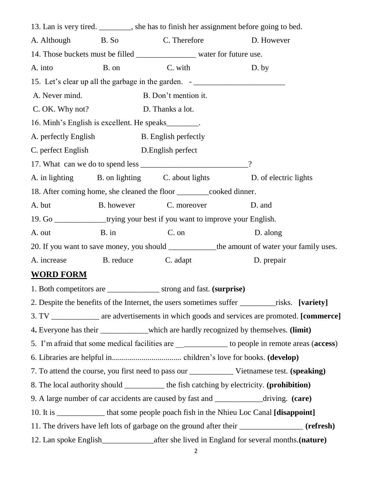13. Lan is very tired. \_\_\_\_\_\_\_\_, she has to finish her assignment before going to bed. A. Although B. So C. Therefore D. However 14. Those buckets must be filled \_\_\_\_\_\_\_\_\_\_\_\_\_\_\_ water for future use. A. into B. on C. with D. by 15. Let's clear up all the garbage in the garden. -A. Never mind. B. Don't mention it. C. OK. Why not? D. Thanks a lot. 16. Minh's English is excellent. He speaks\_\_\_\_\_\_\_\_. A. perfectly English B. English perfectly C. perfect English D.English perfect 17. What can we do to spend less 2 A. in lighting B. on lighting C. about lights D. of electric lights 18. After coming home, she cleaned the floor \_\_\_\_\_\_\_\_cooked dinner. A. but B. however C. moreover D. and 19. Go \_\_\_\_\_\_\_\_\_\_\_\_\_trying your best if you want to improve your English. A. out B. in C. on D. along 20. If you want to save money, you should the amount of water your family uses. A. increase B. reduce C. adapt D. prepair **WORD FORM** 1. Both competitors are \_\_\_\_\_\_\_\_\_\_\_\_\_ strong and fast. **(surprise)** 2. Despite the benefits of the Internet, the users sometimes suffer \_\_\_\_\_\_\_\_\_risks. **[variety]** 3. TV \_\_\_\_\_\_\_\_\_\_\_\_ are advertisements in which goods and services are promoted. **[commerce]** 4**.** Everyone has their \_\_\_\_\_\_\_\_\_\_\_\_which are hardly recognized by themselves. **(limit)** 5. I'm afraid that some medical facilities are \_\_\_\_\_\_\_\_\_\_\_\_\_ to people in remote areas (**access**) 6. Libraries are helpful in................................... children's love for books. **(develop)**  7. To attend the course, you first need to pass our \_\_\_\_\_\_\_\_\_\_\_ Vietnamese test. **(speaking)** 8. The local authority should \_\_\_\_\_\_\_\_\_\_ the fish catching by electricity. **(prohibition)** 9. A large number of car accidents are caused by fast and \_\_\_\_\_\_\_\_\_\_\_\_driving. **(care)** 10. It is \_\_\_\_\_\_\_\_\_\_\_\_ that some people poach fish in the Nhieu Loc Canal **[disappoint]** 11. The drivers have left lots of garbage on the ground after their \_\_\_\_\_\_\_\_\_\_\_\_\_\_\_\_ **(refresh)** 12. Lan spoke English\_\_\_\_\_\_\_\_\_\_\_\_\_after she lived in England for several months.**(nature)**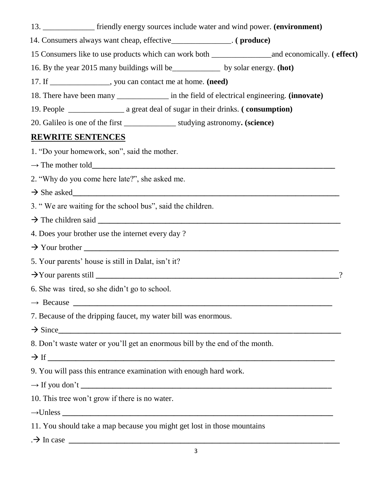- 13. \_\_\_\_\_\_\_\_\_\_\_\_\_ friendly energy sources include water and wind power. **(environment)**
- 14. Consumers always want cheap, effective\_\_\_\_\_\_\_\_\_\_\_\_\_\_\_. **( produce)**

15 Consumers like to use products which can work both \_\_\_\_\_\_\_\_\_\_\_\_\_\_\_and economically. **( effect)**

- 16. By the year 2015 many buildings will be\_\_\_\_\_\_\_\_\_\_\_\_ by solar energy. **(hot)**
- 17. If \_\_\_\_\_\_\_\_\_\_\_\_\_\_\_, you can contact me at home. **(need)**
- 18. There have been many \_\_\_\_\_\_\_\_\_\_\_\_\_ in the field of electrical engineering. **(innovate)**
- 19. People \_\_\_\_\_\_\_\_\_\_\_\_\_\_ a great deal of sugar in their drinks. **( consumption)**
- 20. Galileo is one of the first \_\_\_\_\_\_\_\_\_\_\_\_\_ studying astronomy**. (science)**

## **REWRITE SENTENCES**

- 1. "Do your homework, son", said the mother.
- $\rightarrow$  The mother told
- 2. "Why do you come here late?", she asked me.
- She asked**\_\_\_\_\_\_\_\_\_\_\_\_\_\_\_\_\_\_\_\_\_\_\_\_\_\_\_\_\_\_\_\_\_\_\_\_\_\_\_\_\_\_\_\_\_\_\_\_\_\_\_\_\_\_\_\_\_\_\_\_\_\_\_\_\_\_\_**
- 3. " We are waiting for the school bus", said the children.
- The children said **\_\_\_\_\_\_\_\_\_\_\_\_\_\_\_\_\_\_\_\_\_\_\_\_\_\_\_\_\_\_\_\_\_\_\_\_\_\_\_\_\_\_\_\_\_\_\_\_\_\_\_\_\_\_\_\_\_\_\_\_\_**
- 4. Does your brother use the internet every day ?
- Your brother **\_\_\_\_\_\_\_\_\_\_\_\_\_\_\_\_\_\_\_\_\_\_\_\_\_\_\_\_\_\_\_\_\_\_\_\_\_\_\_\_\_\_\_\_\_\_\_\_\_\_\_\_\_\_\_\_\_\_\_\_\_\_\_\_**
- 5. Your parents' house is still in Dalat, isn't it?
- Your parents still **\_\_\_\_\_\_\_\_\_\_\_\_\_\_\_\_\_\_\_\_\_\_\_\_\_\_\_\_\_\_\_\_\_\_\_\_\_\_\_\_\_\_\_\_\_\_\_\_\_\_\_\_\_\_\_\_\_\_\_\_\_**?
- 6. She was tired, so she didn't go to school.
- $\rightarrow$  Because  $\_\_$
- 7. Because of the dripping faucet, my water bill was enormous.
- $\rightarrow$  Since
- 8. Don't waste water or you'll get an enormous bill by the end of the month.
- If **\_\_\_\_\_\_\_\_\_\_\_\_\_\_\_\_\_\_\_\_\_\_\_\_\_\_\_\_\_\_\_\_\_\_\_\_\_\_\_\_\_\_\_\_\_\_\_\_\_\_\_\_\_\_\_\_\_\_\_\_\_\_\_\_\_\_\_\_\_\_\_\_**
- 9. You will pass this entrance examination with enough hard work.
- **→** If you don't **\_\_\_\_\_\_\_\_\_\_\_\_\_\_\_\_\_\_\_\_\_\_\_\_\_\_\_\_\_\_\_\_\_\_\_\_\_\_\_\_\_\_\_\_\_\_\_\_\_\_\_\_\_\_\_\_\_\_\_\_\_\_\_**
- 10. This tree won't grow if there is no water.
- **→**Unless **\_\_\_\_\_\_\_\_\_\_\_\_\_\_\_\_\_\_\_\_\_\_\_\_\_\_\_\_\_\_\_\_\_\_\_\_\_\_\_\_\_\_\_\_\_\_\_\_\_\_\_\_\_\_\_\_\_\_\_\_\_\_\_\_\_\_\_\_**
- 11. You should take a map because you might get lost in those mountains
- $. \rightarrow$  In case  $\overline{\phantom{a}}$